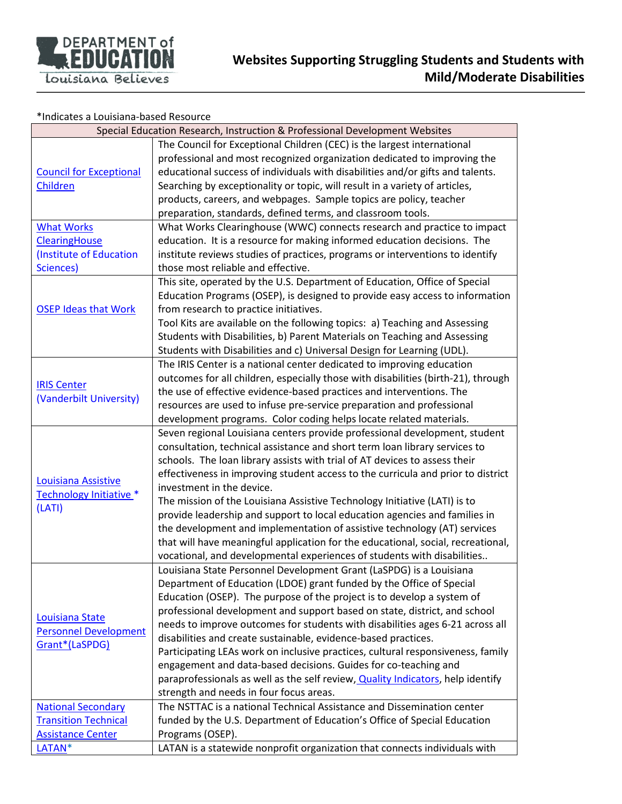

## \*Indicates a Louisiana-based Resource

|                                | Special Education Research, Instruction & Professional Development Websites       |
|--------------------------------|-----------------------------------------------------------------------------------|
|                                | The Council for Exceptional Children (CEC) is the largest international           |
|                                | professional and most recognized organization dedicated to improving the          |
| <b>Council for Exceptional</b> | educational success of individuals with disabilities and/or gifts and talents.    |
| Children                       | Searching by exceptionality or topic, will result in a variety of articles,       |
|                                | products, careers, and webpages. Sample topics are policy, teacher                |
|                                | preparation, standards, defined terms, and classroom tools.                       |
| <b>What Works</b>              | What Works Clearinghouse (WWC) connects research and practice to impact           |
| <b>ClearingHouse</b>           | education. It is a resource for making informed education decisions. The          |
| (Institute of Education        | institute reviews studies of practices, programs or interventions to identify     |
| Sciences)                      | those most reliable and effective.                                                |
|                                | This site, operated by the U.S. Department of Education, Office of Special        |
|                                | Education Programs (OSEP), is designed to provide easy access to information      |
| <b>OSEP Ideas that Work</b>    | from research to practice initiatives.                                            |
|                                | Tool Kits are available on the following topics: a) Teaching and Assessing        |
|                                | Students with Disabilities, b) Parent Materials on Teaching and Assessing         |
|                                | Students with Disabilities and c) Universal Design for Learning (UDL).            |
|                                | The IRIS Center is a national center dedicated to improving education             |
|                                | outcomes for all children, especially those with disabilities (birth-21), through |
| <b>IRIS Center</b>             | the use of effective evidence-based practices and interventions. The              |
| (Vanderbilt University)        | resources are used to infuse pre-service preparation and professional             |
|                                |                                                                                   |
|                                | development programs. Color coding helps locate related materials.                |
|                                | Seven regional Louisiana centers provide professional development, student        |
|                                | consultation, technical assistance and short term loan library services to        |
|                                | schools. The loan library assists with trial of AT devices to assess their        |
| Louisiana Assistive            | effectiveness in improving student access to the curricula and prior to district  |
| Technology Initiative *        | investment in the device.                                                         |
| (LATI)                         | The mission of the Louisiana Assistive Technology Initiative (LATI) is to         |
|                                | provide leadership and support to local education agencies and families in        |
|                                | the development and implementation of assistive technology (AT) services          |
|                                | that will have meaningful application for the educational, social, recreational,  |
|                                | vocational, and developmental experiences of students with disabilities           |
|                                | Louisiana State Personnel Development Grant (LaSPDG) is a Louisiana               |
|                                | Department of Education (LDOE) grant funded by the Office of Special              |
|                                | Education (OSEP). The purpose of the project is to develop a system of            |
| <b>Louisiana State</b>         | professional development and support based on state, district, and school         |
| <b>Personnel Development</b>   | needs to improve outcomes for students with disabilities ages 6-21 across all     |
| Grant*(LaSPDG)                 | disabilities and create sustainable, evidence-based practices.                    |
|                                | Participating LEAs work on inclusive practices, cultural responsiveness, family   |
|                                | engagement and data-based decisions. Guides for co-teaching and                   |
|                                | paraprofessionals as well as the self review, Quality Indicators, help identify   |
|                                | strength and needs in four focus areas.                                           |
| <b>National Secondary</b>      | The NSTTAC is a national Technical Assistance and Dissemination center            |
| <b>Transition Technical</b>    | funded by the U.S. Department of Education's Office of Special Education          |
| <b>Assistance Center</b>       | Programs (OSEP).                                                                  |
| LATAN*                         | LATAN is a statewide nonprofit organization that connects individuals with        |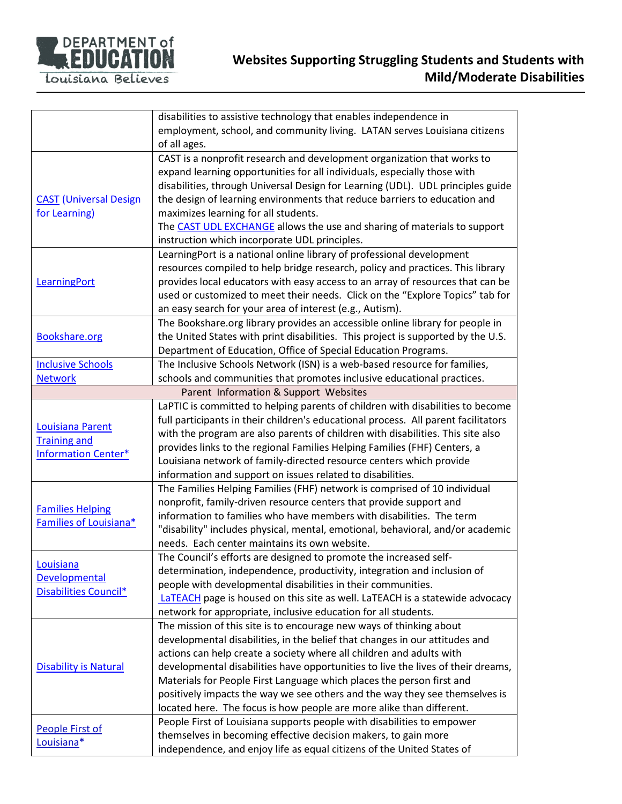

|                               | disabilities to assistive technology that enables independence in                                                                                  |
|-------------------------------|----------------------------------------------------------------------------------------------------------------------------------------------------|
|                               | employment, school, and community living. LATAN serves Louisiana citizens                                                                          |
|                               | of all ages.                                                                                                                                       |
|                               | CAST is a nonprofit research and development organization that works to                                                                            |
|                               | expand learning opportunities for all individuals, especially those with                                                                           |
|                               | disabilities, through Universal Design for Learning (UDL). UDL principles guide                                                                    |
| <b>CAST</b> (Universal Design | the design of learning environments that reduce barriers to education and                                                                          |
| for Learning)                 | maximizes learning for all students.                                                                                                               |
|                               | The CAST UDL EXCHANGE allows the use and sharing of materials to support                                                                           |
|                               | instruction which incorporate UDL principles.                                                                                                      |
|                               | LearningPort is a national online library of professional development                                                                              |
|                               | resources compiled to help bridge research, policy and practices. This library                                                                     |
| LearningPort                  | provides local educators with easy access to an array of resources that can be                                                                     |
|                               | used or customized to meet their needs. Click on the "Explore Topics" tab for                                                                      |
|                               | an easy search for your area of interest (e.g., Autism).                                                                                           |
|                               | The Bookshare.org library provides an accessible online library for people in                                                                      |
| <b>Bookshare.org</b>          | the United States with print disabilities. This project is supported by the U.S.                                                                   |
|                               | Department of Education, Office of Special Education Programs.                                                                                     |
| <b>Inclusive Schools</b>      | The Inclusive Schools Network (ISN) is a web-based resource for families,                                                                          |
| <b>Network</b>                | schools and communities that promotes inclusive educational practices.                                                                             |
|                               | Parent Information & Support Websites                                                                                                              |
|                               | LaPTIC is committed to helping parents of children with disabilities to become                                                                     |
|                               | full participants in their children's educational process. All parent facilitators                                                                 |
| <b>Louisiana Parent</b>       | with the program are also parents of children with disabilities. This site also                                                                    |
| <b>Training and</b>           | provides links to the regional Families Helping Families (FHF) Centers, a                                                                          |
| <b>Information Center*</b>    | Louisiana network of family-directed resource centers which provide                                                                                |
|                               | information and support on issues related to disabilities.                                                                                         |
|                               | The Families Helping Families (FHF) network is comprised of 10 individual                                                                          |
|                               | nonprofit, family-driven resource centers that provide support and                                                                                 |
| <b>Families Helping</b>       | information to families who have members with disabilities. The term                                                                               |
| Families of Louisiana*        | "disability" includes physical, mental, emotional, behavioral, and/or academic                                                                     |
|                               | needs. Each center maintains its own website.                                                                                                      |
|                               | The Council's efforts are designed to promote the increased self-                                                                                  |
| Louisiana                     | determination, independence, productivity, integration and inclusion of                                                                            |
| <b>Developmental</b>          | people with developmental disabilities in their communities.                                                                                       |
| Disabilities Council*         |                                                                                                                                                    |
|                               | LaTEACH page is housed on this site as well. LaTEACH is a statewide advocacy<br>network for appropriate, inclusive education for all students.     |
|                               |                                                                                                                                                    |
|                               | The mission of this site is to encourage new ways of thinking about<br>developmental disabilities, in the belief that changes in our attitudes and |
| <b>Disability is Natural</b>  | actions can help create a society where all children and adults with                                                                               |
|                               |                                                                                                                                                    |
|                               | developmental disabilities have opportunities to live the lives of their dreams,                                                                   |
|                               | Materials for People First Language which places the person first and                                                                              |
|                               | positively impacts the way we see others and the way they see themselves is                                                                        |
|                               | located here. The focus is how people are more alike than different.                                                                               |
| People First of               | People First of Louisiana supports people with disabilities to empower                                                                             |
| Louisiana*                    | themselves in becoming effective decision makers, to gain more                                                                                     |
|                               | independence, and enjoy life as equal citizens of the United States of                                                                             |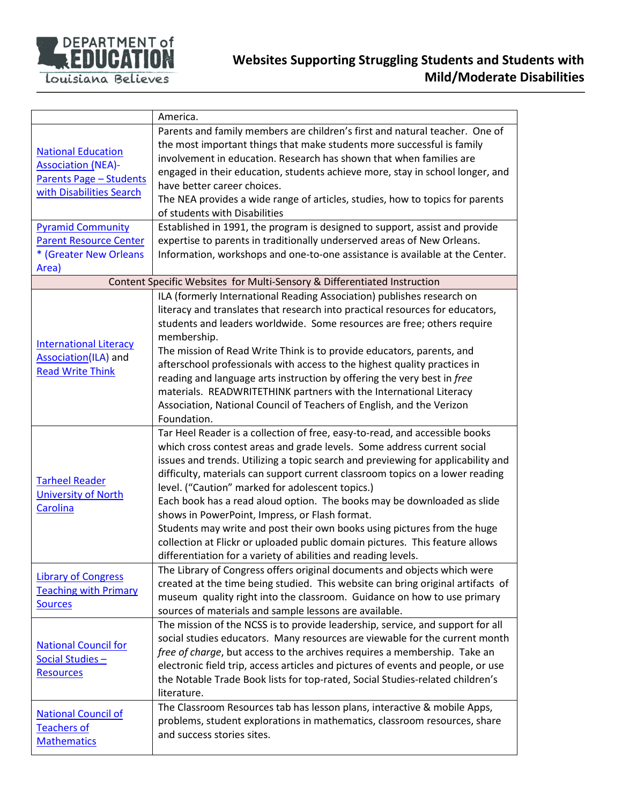

|                                                                                                                                                                                                                      | America.                                                                                                                                                                                                                                                                                                                                                                                                                                                                                                                                                                                                                                                                                                                                   |
|----------------------------------------------------------------------------------------------------------------------------------------------------------------------------------------------------------------------|--------------------------------------------------------------------------------------------------------------------------------------------------------------------------------------------------------------------------------------------------------------------------------------------------------------------------------------------------------------------------------------------------------------------------------------------------------------------------------------------------------------------------------------------------------------------------------------------------------------------------------------------------------------------------------------------------------------------------------------------|
| <b>National Education</b><br><b>Association (NEA)-</b><br><b>Parents Page - Students</b><br>with Disabilities Search<br><b>Pyramid Community</b><br><b>Parent Resource Center</b><br>* (Greater New Orleans<br>Area) | Parents and family members are children's first and natural teacher. One of<br>the most important things that make students more successful is family<br>involvement in education. Research has shown that when families are<br>engaged in their education, students achieve more, stay in school longer, and<br>have better career choices.<br>The NEA provides a wide range of articles, studies, how to topics for parents<br>of students with Disabilities<br>Established in 1991, the program is designed to support, assist and provide<br>expertise to parents in traditionally underserved areas of New Orleans.<br>Information, workshops and one-to-one assistance is available at the Center.                                   |
|                                                                                                                                                                                                                      | Content Specific Websites for Multi-Sensory & Differentiated Instruction                                                                                                                                                                                                                                                                                                                                                                                                                                                                                                                                                                                                                                                                   |
| <b>International Literacy</b><br>Association(ILA) and<br><b>Read Write Think</b>                                                                                                                                     | ILA (formerly International Reading Association) publishes research on<br>literacy and translates that research into practical resources for educators,<br>students and leaders worldwide. Some resources are free; others require<br>membership.<br>The mission of Read Write Think is to provide educators, parents, and<br>afterschool professionals with access to the highest quality practices in<br>reading and language arts instruction by offering the very best in free<br>materials. READWRITETHINK partners with the International Literacy<br>Association, National Council of Teachers of English, and the Verizon<br>Foundation.                                                                                           |
| <b>Tarheel Reader</b><br><b>University of North</b><br><b>Carolina</b>                                                                                                                                               | Tar Heel Reader is a collection of free, easy-to-read, and accessible books<br>which cross contest areas and grade levels. Some address current social<br>issues and trends. Utilizing a topic search and previewing for applicability and<br>difficulty, materials can support current classroom topics on a lower reading<br>level. ("Caution" marked for adolescent topics.)<br>Each book has a read aloud option. The books may be downloaded as slide<br>shows in PowerPoint, Impress, or Flash format.<br>Students may write and post their own books using pictures from the huge<br>collection at Flickr or uploaded public domain pictures. This feature allows<br>differentiation for a variety of abilities and reading levels. |
| <b>Library of Congress</b><br><b>Teaching with Primary</b><br><b>Sources</b>                                                                                                                                         | The Library of Congress offers original documents and objects which were<br>created at the time being studied. This website can bring original artifacts of<br>museum quality right into the classroom. Guidance on how to use primary<br>sources of materials and sample lessons are available.                                                                                                                                                                                                                                                                                                                                                                                                                                           |
| <b>National Council for</b><br>Social Studies-<br><b>Resources</b>                                                                                                                                                   | The mission of the NCSS is to provide leadership, service, and support for all<br>social studies educators. Many resources are viewable for the current month<br>free of charge, but access to the archives requires a membership. Take an<br>electronic field trip, access articles and pictures of events and people, or use<br>the Notable Trade Book lists for top-rated, Social Studies-related children's<br>literature.                                                                                                                                                                                                                                                                                                             |
| <b>National Council of</b><br><b>Teachers of</b><br><b>Mathematics</b>                                                                                                                                               | The Classroom Resources tab has lesson plans, interactive & mobile Apps,<br>problems, student explorations in mathematics, classroom resources, share<br>and success stories sites.                                                                                                                                                                                                                                                                                                                                                                                                                                                                                                                                                        |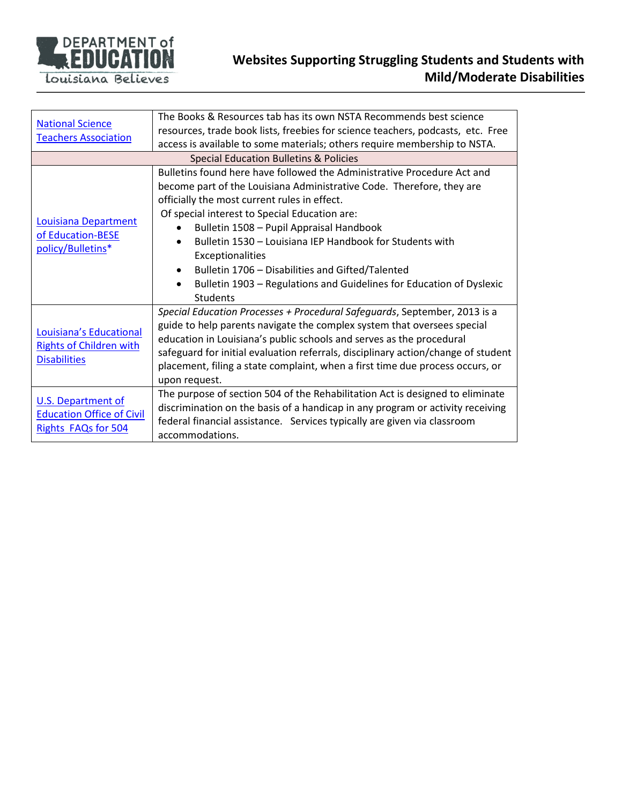

| <b>National Science</b><br><b>Teachers Association</b>                           | The Books & Resources tab has its own NSTA Recommends best science<br>resources, trade book lists, freebies for science teachers, podcasts, etc. Free<br>access is available to some materials; others require membership to NSTA.                                                                                                                                                                                                                                                                                                  |  |
|----------------------------------------------------------------------------------|-------------------------------------------------------------------------------------------------------------------------------------------------------------------------------------------------------------------------------------------------------------------------------------------------------------------------------------------------------------------------------------------------------------------------------------------------------------------------------------------------------------------------------------|--|
| Special Education Bulletins & Policies                                           |                                                                                                                                                                                                                                                                                                                                                                                                                                                                                                                                     |  |
| Louisiana Department<br>of Education-BESE<br>policy/Bulletins*                   | Bulletins found here have followed the Administrative Procedure Act and<br>become part of the Louisiana Administrative Code. Therefore, they are<br>officially the most current rules in effect.<br>Of special interest to Special Education are:<br>Bulletin 1508 - Pupil Appraisal Handbook<br>Bulletin 1530 - Louisiana IEP Handbook for Students with<br><b>Exceptionalities</b><br>Bulletin 1706 - Disabilities and Gifted/Talented<br>Bulletin 1903 – Regulations and Guidelines for Education of Dyslexic<br><b>Students</b> |  |
| Louisiana's Educational<br><b>Rights of Children with</b><br><b>Disabilities</b> | Special Education Processes + Procedural Safeguards, September, 2013 is a<br>guide to help parents navigate the complex system that oversees special<br>education in Louisiana's public schools and serves as the procedural<br>safeguard for initial evaluation referrals, disciplinary action/change of student<br>placement, filing a state complaint, when a first time due process occurs, or<br>upon request.                                                                                                                 |  |
| U.S. Department of<br><b>Education Office of Civil</b><br>Rights FAQs for 504    | The purpose of section 504 of the Rehabilitation Act is designed to eliminate<br>discrimination on the basis of a handicap in any program or activity receiving<br>federal financial assistance. Services typically are given via classroom<br>accommodations.                                                                                                                                                                                                                                                                      |  |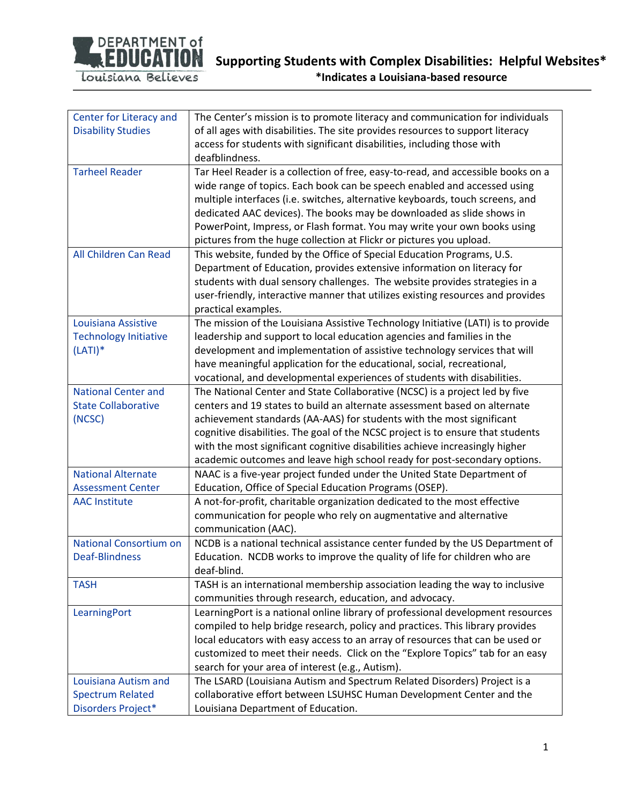

| Center for Literacy and       | The Center's mission is to promote literacy and communication for individuals     |
|-------------------------------|-----------------------------------------------------------------------------------|
| <b>Disability Studies</b>     | of all ages with disabilities. The site provides resources to support literacy    |
|                               | access for students with significant disabilities, including those with           |
|                               | deafblindness.                                                                    |
| <b>Tarheel Reader</b>         | Tar Heel Reader is a collection of free, easy-to-read, and accessible books on a  |
|                               | wide range of topics. Each book can be speech enabled and accessed using          |
|                               | multiple interfaces (i.e. switches, alternative keyboards, touch screens, and     |
|                               | dedicated AAC devices). The books may be downloaded as slide shows in             |
|                               | PowerPoint, Impress, or Flash format. You may write your own books using          |
|                               | pictures from the huge collection at Flickr or pictures you upload.               |
| All Children Can Read         | This website, funded by the Office of Special Education Programs, U.S.            |
|                               | Department of Education, provides extensive information on literacy for           |
|                               | students with dual sensory challenges. The website provides strategies in a       |
|                               | user-friendly, interactive manner that utilizes existing resources and provides   |
|                               | practical examples.                                                               |
| Louisiana Assistive           | The mission of the Louisiana Assistive Technology Initiative (LATI) is to provide |
| <b>Technology Initiative</b>  | leadership and support to local education agencies and families in the            |
| $(LATI)*$                     | development and implementation of assistive technology services that will         |
|                               | have meaningful application for the educational, social, recreational,            |
|                               | vocational, and developmental experiences of students with disabilities.          |
| <b>National Center and</b>    | The National Center and State Collaborative (NCSC) is a project led by five       |
| <b>State Collaborative</b>    | centers and 19 states to build an alternate assessment based on alternate         |
| (NCSC)                        | achievement standards (AA-AAS) for students with the most significant             |
|                               | cognitive disabilities. The goal of the NCSC project is to ensure that students   |
|                               | with the most significant cognitive disabilities achieve increasingly higher      |
|                               | academic outcomes and leave high school ready for post-secondary options.         |
| <b>National Alternate</b>     | NAAC is a five-year project funded under the United State Department of           |
| <b>Assessment Center</b>      | Education, Office of Special Education Programs (OSEP).                           |
| <b>AAC Institute</b>          | A not-for-profit, charitable organization dedicated to the most effective         |
|                               | communication for people who rely on augmentative and alternative                 |
|                               | communication (AAC).                                                              |
| <b>National Consortium on</b> | NCDB is a national technical assistance center funded by the US Department of     |
| <b>Deaf-Blindness</b>         | Education. NCDB works to improve the quality of life for children who are         |
|                               | deaf-blind.                                                                       |
| <b>TASH</b>                   | TASH is an international membership association leading the way to inclusive      |
|                               | communities through research, education, and advocacy.                            |
| LearningPort                  | LearningPort is a national online library of professional development resources   |
|                               | compiled to help bridge research, policy and practices. This library provides     |
|                               | local educators with easy access to an array of resources that can be used or     |
|                               | customized to meet their needs. Click on the "Explore Topics" tab for an easy     |
|                               | search for your area of interest (e.g., Autism).                                  |
| Louisiana Autism and          | The LSARD (Louisiana Autism and Spectrum Related Disorders) Project is a          |
| <b>Spectrum Related</b>       | collaborative effort between LSUHSC Human Development Center and the              |
| Disorders Project*            | Louisiana Department of Education.                                                |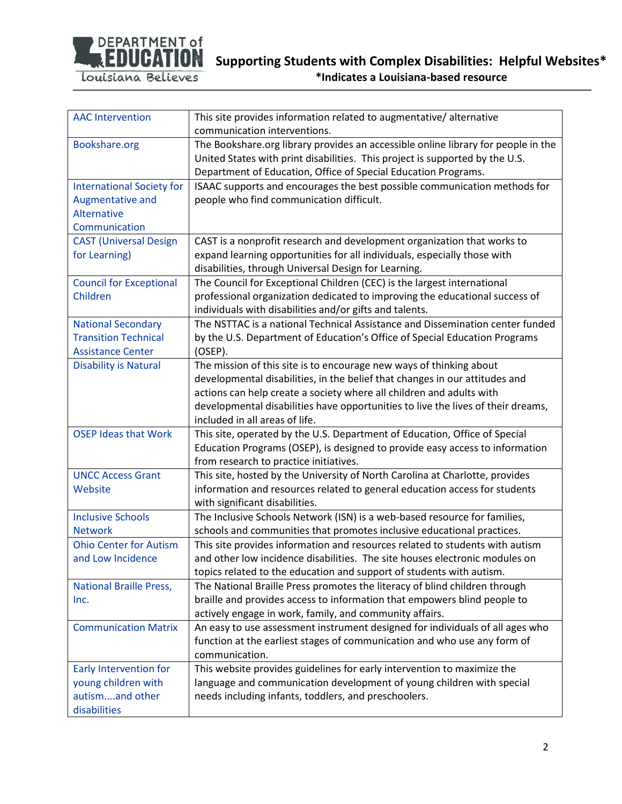

Louisiana Believes

**\*Indicates a Louisiana-based resource**

| <b>AAC Intervention</b>          | This site provides information related to augmentative/alternative                |
|----------------------------------|-----------------------------------------------------------------------------------|
|                                  | communication interventions.                                                      |
| Bookshare.org                    | The Bookshare.org library provides an accessible online library for people in the |
|                                  | United States with print disabilities. This project is supported by the U.S.      |
|                                  | Department of Education, Office of Special Education Programs.                    |
| <b>International Society for</b> | ISAAC supports and encourages the best possible communication methods for         |
| Augmentative and                 | people who find communication difficult.                                          |
| Alternative                      |                                                                                   |
| Communication                    |                                                                                   |
| <b>CAST (Universal Design)</b>   | CAST is a nonprofit research and development organization that works to           |
| for Learning)                    | expand learning opportunities for all individuals, especially those with          |
|                                  | disabilities, through Universal Design for Learning.                              |
| <b>Council for Exceptional</b>   | The Council for Exceptional Children (CEC) is the largest international           |
| Children                         | professional organization dedicated to improving the educational success of       |
|                                  | individuals with disabilities and/or gifts and talents.                           |
| <b>National Secondary</b>        | The NSTTAC is a national Technical Assistance and Dissemination center funded     |
| <b>Transition Technical</b>      | by the U.S. Department of Education's Office of Special Education Programs        |
| <b>Assistance Center</b>         | $(OSEP)$ .                                                                        |
| <b>Disability is Natural</b>     | The mission of this site is to encourage new ways of thinking about               |
|                                  | developmental disabilities, in the belief that changes in our attitudes and       |
|                                  | actions can help create a society where all children and adults with              |
|                                  | developmental disabilities have opportunities to live the lives of their dreams,  |
|                                  | included in all areas of life.                                                    |
| <b>OSEP Ideas that Work</b>      | This site, operated by the U.S. Department of Education, Office of Special        |
|                                  | Education Programs (OSEP), is designed to provide easy access to information      |
|                                  | from research to practice initiatives.                                            |
| <b>UNCC Access Grant</b>         | This site, hosted by the University of North Carolina at Charlotte, provides      |
| Website                          | information and resources related to general education access for students        |
|                                  | with significant disabilities.                                                    |
| <b>Inclusive Schools</b>         | The Inclusive Schools Network (ISN) is a web-based resource for families,         |
| <b>Network</b>                   | schools and communities that promotes inclusive educational practices.            |
| <b>Ohio Center for Autism</b>    | This site provides information and resources related to students with autism      |
| and Low Incidence                | and other low incidence disabilities. The site houses electronic modules on       |
|                                  | topics related to the education and support of students with autism.              |
| <b>National Braille Press,</b>   | The National Braille Press promotes the literacy of blind children through        |
| Inc.                             | braille and provides access to information that empowers blind people to          |
|                                  | actively engage in work, family, and community affairs.                           |
| <b>Communication Matrix</b>      | An easy to use assessment instrument designed for individuals of all ages who     |
|                                  | function at the earliest stages of communication and who use any form of          |
|                                  | communication.                                                                    |
| <b>Early Intervention for</b>    | This website provides guidelines for early intervention to maximize the           |
| young children with              | language and communication development of young children with special             |
| autismand other                  | needs including infants, toddlers, and preschoolers.                              |
| disabilities                     |                                                                                   |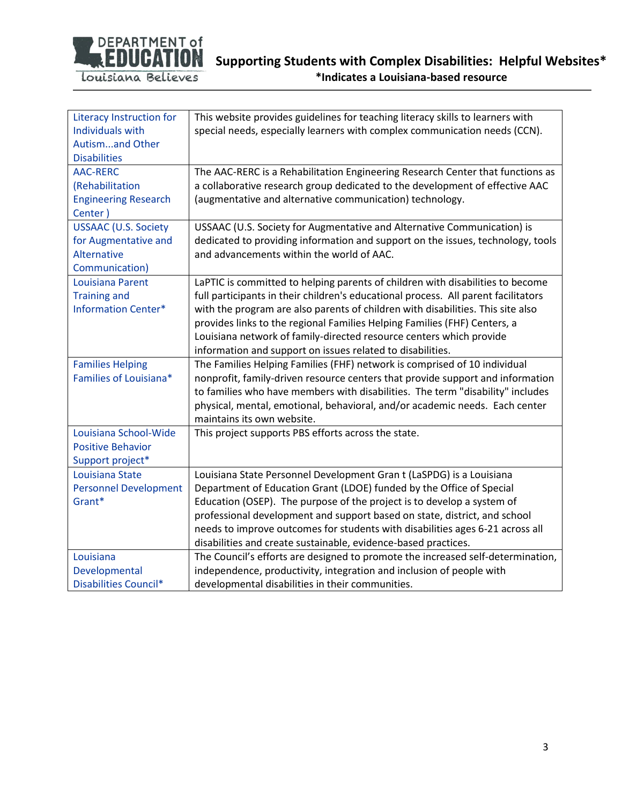

| <b>Literacy Instruction for</b> | This website provides guidelines for teaching literacy skills to learners with     |
|---------------------------------|------------------------------------------------------------------------------------|
| <b>Individuals with</b>         | special needs, especially learners with complex communication needs (CCN).         |
| Autismand Other                 |                                                                                    |
| <b>Disabilities</b>             |                                                                                    |
| <b>AAC-RERC</b>                 | The AAC-RERC is a Rehabilitation Engineering Research Center that functions as     |
| (Rehabilitation                 | a collaborative research group dedicated to the development of effective AAC       |
| <b>Engineering Research</b>     | (augmentative and alternative communication) technology.                           |
| Center)                         |                                                                                    |
| <b>USSAAC (U.S. Society</b>     | USSAAC (U.S. Society for Augmentative and Alternative Communication) is            |
| for Augmentative and            | dedicated to providing information and support on the issues, technology, tools    |
| Alternative                     | and advancements within the world of AAC.                                          |
| Communication)                  |                                                                                    |
| Louisiana Parent                | LaPTIC is committed to helping parents of children with disabilities to become     |
| <b>Training and</b>             | full participants in their children's educational process. All parent facilitators |
| <b>Information Center*</b>      | with the program are also parents of children with disabilities. This site also    |
|                                 | provides links to the regional Families Helping Families (FHF) Centers, a          |
|                                 | Louisiana network of family-directed resource centers which provide                |
|                                 | information and support on issues related to disabilities.                         |
| <b>Families Helping</b>         | The Families Helping Families (FHF) network is comprised of 10 individual          |
| Families of Louisiana*          | nonprofit, family-driven resource centers that provide support and information     |
|                                 | to families who have members with disabilities. The term "disability" includes     |
|                                 | physical, mental, emotional, behavioral, and/or academic needs. Each center        |
|                                 | maintains its own website.                                                         |
| Louisiana School-Wide           | This project supports PBS efforts across the state.                                |
| <b>Positive Behavior</b>        |                                                                                    |
| Support project*                |                                                                                    |
| Louisiana State                 | Louisiana State Personnel Development Gran t (LaSPDG) is a Louisiana               |
| <b>Personnel Development</b>    | Department of Education Grant (LDOE) funded by the Office of Special               |
| Grant*                          | Education (OSEP). The purpose of the project is to develop a system of             |
|                                 | professional development and support based on state, district, and school          |
|                                 | needs to improve outcomes for students with disabilities ages 6-21 across all      |
|                                 | disabilities and create sustainable, evidence-based practices.                     |
| Louisiana                       | The Council's efforts are designed to promote the increased self-determination,    |
| Developmental                   | independence, productivity, integration and inclusion of people with               |
| <b>Disabilities Council*</b>    | developmental disabilities in their communities.                                   |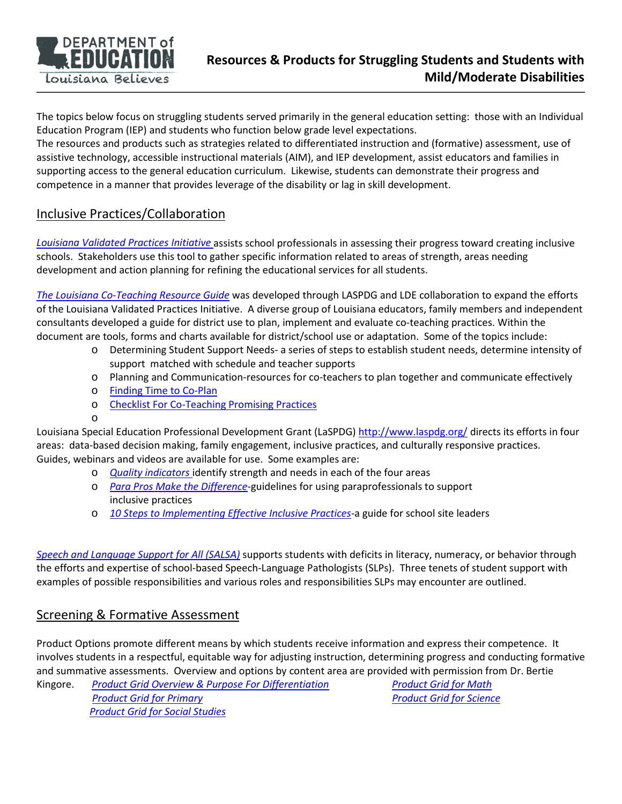

The topics below focus on struggling students served primarily in the general education setting: those with an Individual Education Program (IEP) and students who function below grade level expectations.

The resources and products such as strategies related to differentiated instruction and (formative) assessment, use of assistive technology, accessible instructional materials (AIM), and IEP development, assist educators and families in supporting access to the general education curriculum. Likewise, students can demonstrate their progress and competence in a manner that provides leverage of the disability or lag in skill development.

## Inclusive Practices/Collaboration

*[Louisiana Validated Practices](http://www.louisianabelieves.com/docs/default-source/academics/louisiana-validated-practices-initiative.pdf?sfvrsn=2) Initiative* assists school professionals in assessing their progress toward creating inclusive schools. Stakeholders use this tool to gather specific information related to areas of strength, areas needing development and action planning for refining the educational services for all students.

*[The Louisiana Co-Teaching Resource Guide](http://www.louisianabelieves.com/docs/default-source/academics/louisiana-co-teaching-resource-guide.pdf?sfvrsn=2)* was developed through LASPDG and LDE collaboration to expand the efforts of the Louisiana Validated Practices Initiative. A diverse group of Louisiana educators, family members and independent consultants developed a guide for district use to plan, implement and evaluate co-teaching practices. Within the document are tools, forms and charts available for district/school use or adaptation. Some of the topics include:

- o Determining Student Support Needs- a series of steps to establish student needs, determine intensity of support matched with schedule and teacher supports
- o Planning and Communication-resources for co-teachers to plan together and communicate effectively
- o [Finding Time to Co-Plan](http://www.louisianabelieves.com/docs/default-source/academics/finding-time-to-co-plan.pdf?sfvrsn=2)
- o [Checklist For Co-Teaching Promising Practices](http://www.louisianabelieves.com/docs/default-source/academics/checklist-for-co-teaching-promising-practices.pdf?sfvrsn=2)
- o

Louisiana Special Education Professional Development Grant (LaSPDG)<http://www.laspdg.org/> directs its efforts in four areas: data-based decision making, family engagement, inclusive practices, and culturally responsive practices. Guides, webinars and videos are available for use. Some examples are:

- o *[Quality indicators](http://www.louisianabelieves.com/docs/default-source/academics/quality-indicators-laspdg.pdf?sfvrsn=2)* identify strength and needs in each of the four areas
- o *[Para Pros Make the Difference](http://www.louisianabelieves.com/docs/default-source/academics/parapros-make-the-difference.pdf?sfvrsn=2)*-guidelines for using paraprofessionals to support inclusive practices
- o *[10 Steps to Implementing Effective Inclusive Practices](http://www.louisianabelieves.com/docs/default-source/academics/10-steps-to-implementing-effective-inclusive-practices.pdf?sfvrsn=2)*-a guide for school site leaders

*[Speech and Language Support for All \(SALSA\)](http://www.louisianabelieves.com/docs/default-source/academics/speech-and-language-support-for-all-(salsa).pdf?sfvrsn=2)* supports students with deficits in literacy, numeracy, or behavior through the efforts and expertise of school-based Speech-Language Pathologists (SLPs). Three tenets of student support with examples of possible responsibilities and various roles and responsibilities SLPs may encounter are outlined.

## Screening & Formative Assessment

Product Options promote different means by which students receive information and express their competence. It involves students in a respectful, equitable way for adjusting instruction, determining progress and conducting formative and summative assessments. Overview and options by content area are provided with permission from Dr. Bertie

Kingore. *[Product Grid Overview & Purpose For Differentiation](http://www.louisianabelieves.com/docs/default-source/academics/product-grid-overview-purpose-for-differentiation.pdf?sfvrsn=2) [Product Grid](http://www.louisianabelieves.com/docs/default-source/academics/product-grid-for-math.pdf?sfvrsn=2) for Math [Product Grid](http://www.louisianabelieves.com/docs/default-source/academics/product-grid-primary.pdf?sfvrsn=2) for Primary Product Grid for Science [Product Grid for Social Studies](ttp://www.louisianabelieves.com/docs/default-source/academics/product-grid-social-studies.pdf?sfvrsn=2)*